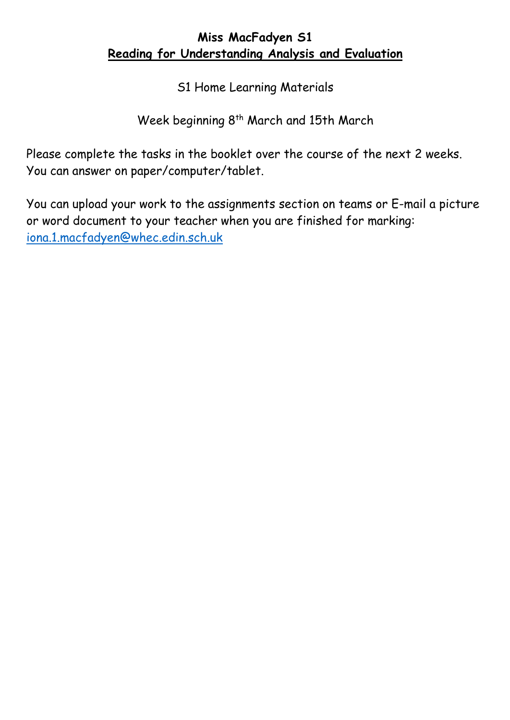## **Miss MacFadyen S1 Reading for Understanding Analysis and Evaluation**

S1 Home Learning Materials

Week beginning 8<sup>th</sup> March and 15th March

Please complete the tasks in the booklet over the course of the next 2 weeks. You can answer on paper/computer/tablet.

You can upload your work to the assignments section on teams or E-mail a picture or word document to your teacher when you are finished for marking: [iona.1.macfadyen@whec.edin.sch.uk](mailto:iona.1.macfadyen@whec.edin.sch.uk)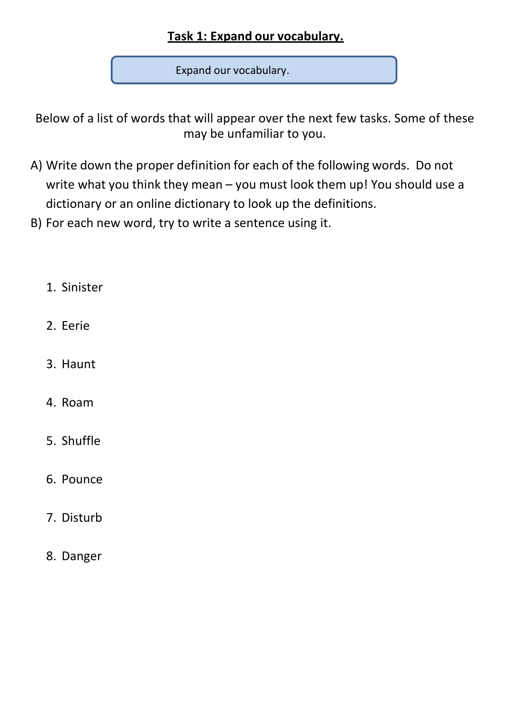# **Task 1: Expand our vocabulary.**

Expand our vocabulary.

Below of a list of words that will appear over the next few tasks. Some of these may be unfamiliar to you.

- A) Write down the proper definition for each of the following words. Do not write what you think they mean – you must look them up! You should use a dictionary or an online dictionary to look up the definitions.
- B) For each new word, try to write a sentence using it.
	- 1. Sinister
	- 2. Eerie
	- 3. Haunt
	- 4. Roam
	- 5. Shuffle
	- 6. Pounce
	- 7. Disturb
	- 8. Danger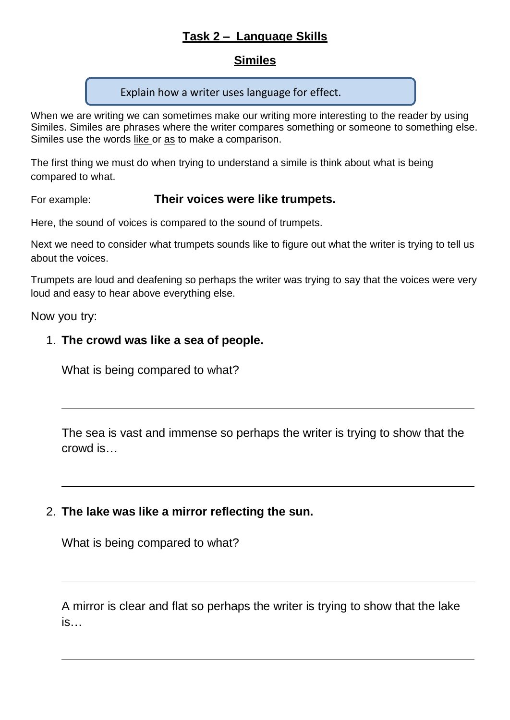### **Task 2 – Language Skills**

#### **Similes**

#### Explain how a writer uses language for effect.

When we are writing we can sometimes make our writing more interesting to the reader by using Similes. Similes are phrases where the writer compares something or someone to something else. Similes use the words like or as to make a comparison.

The first thing we must do when trying to understand a simile is think about what is being compared to what.

#### For example: **Their voices were like trumpets.**

Here, the sound of voices is compared to the sound of trumpets.

Next we need to consider what trumpets sounds like to figure out what the writer is trying to tell us about the voices.

Trumpets are loud and deafening so perhaps the writer was trying to say that the voices were very loud and easy to hear above everything else.

#### Now you try:

#### 1. **The crowd was like a sea of people.**

What is being compared to what?

The sea is vast and immense so perhaps the writer is trying to show that the crowd is…

### 2. **The lake was like a mirror reflecting the sun.**

What is being compared to what?

A mirror is clear and flat so perhaps the writer is trying to show that the lake is…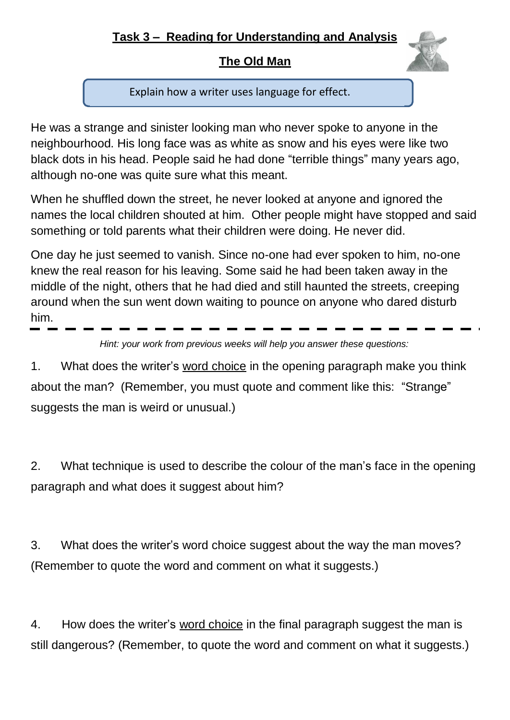## **The Old Man**

Explain how a writer uses language for effect.

He was a strange and sinister looking man who never spoke to anyone in the neighbourhood. His long face was as white as snow and his eyes were like two black dots in his head. People said he had done "terrible things" many years ago, although no-one was quite sure what this meant.

When he shuffled down the street, he never looked at anyone and ignored the names the local children shouted at him. Other people might have stopped and said something or told parents what their children were doing. He never did.

One day he just seemed to vanish. Since no-one had ever spoken to him, no-one knew the real reason for his leaving. Some said he had been taken away in the middle of the night, others that he had died and still haunted the streets, creeping around when the sun went down waiting to pounce on anyone who dared disturb him.

*Hint: your work from previous weeks will help you answer these questions:*

1. What does the writer's word choice in the opening paragraph make you think about the man? (Remember, you must quote and comment like this: "Strange" suggests the man is weird or unusual.)

2. What technique is used to describe the colour of the man's face in the opening paragraph and what does it suggest about him?

3. What does the writer's word choice suggest about the way the man moves? (Remember to quote the word and comment on what it suggests.)

4. How does the writer's word choice in the final paragraph suggest the man is still dangerous? (Remember, to quote the word and comment on what it suggests.)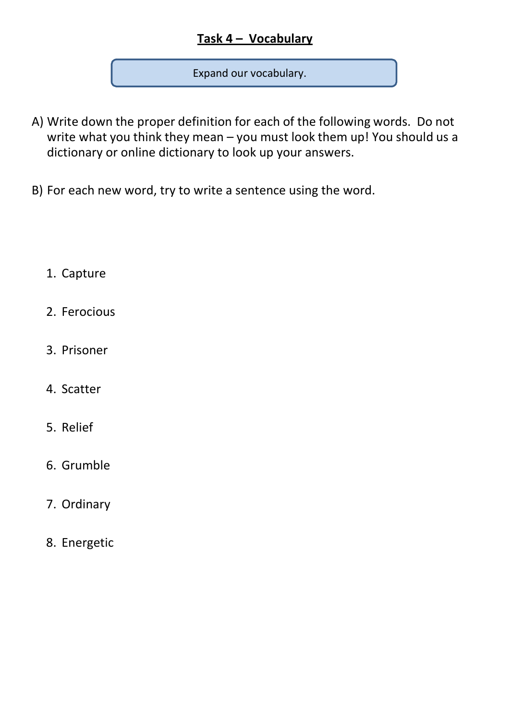# **Task 4 – Vocabulary**

Expand our vocabulary.

- A) Write down the proper definition for each of the following words. Do not write what you think they mean – you must look them up! You should us a dictionary or online dictionary to look up your answers.
- B) For each new word, try to write a sentence using the word.

## 1. Capture

- 2. Ferocious
- 3. Prisoner
- 4. Scatter
- 5. Relief
- 6. Grumble
- 7. Ordinary
- 8. Energetic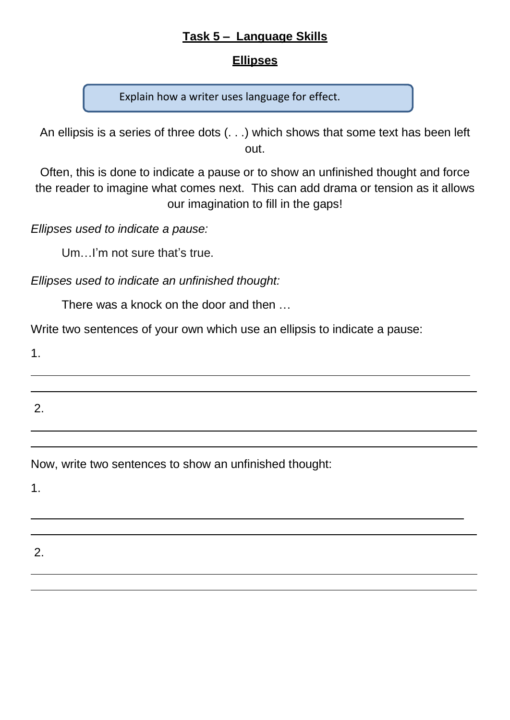### **Task 5 – Language Skills**

#### **Ellipses**

Explain how a writer uses language for effect.

An ellipsis is a series of three dots (. . .) which shows that some text has been left out.

Often, this is done to indicate a pause or to show an unfinished thought and force the reader to imagine what comes next. This can add drama or tension as it allows our imagination to fill in the gaps!

*Ellipses used to indicate a pause:*

Um…I'm not sure that's true.

*Ellipses used to indicate an unfinished thought:*

There was a knock on the door and then …

Write two sentences of your own which use an ellipsis to indicate a pause:

1.

2.

Now, write two sentences to show an unfinished thought:

1.

#### 2.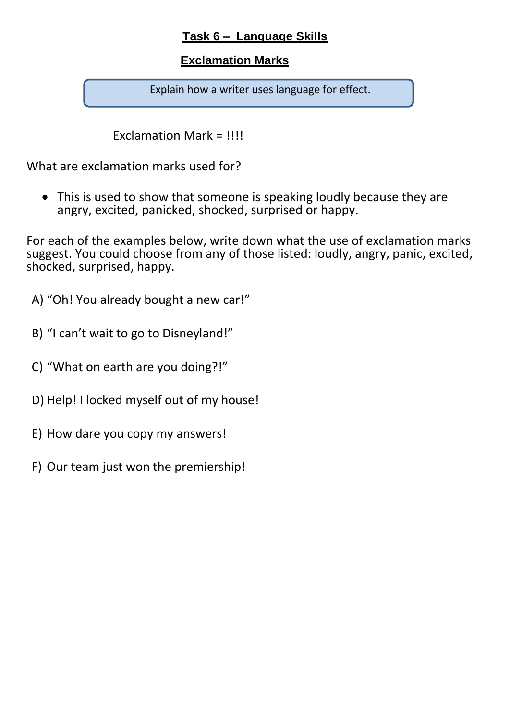### **Task 6 – Language Skills**

### **Exclamation Marks**

Explain how a writer uses language for effect.

Exclamation Mark = !!!!

What are exclamation marks used for?

• This is used to show that someone is speaking loudly because they are angry, excited, panicked, shocked, surprised or happy.

For each of the examples below, write down what the use of exclamation marks suggest. You could choose from any of those listed: loudly, angry, panic, excited, shocked, surprised, happy.

A) "Oh! You already bought a new car!"

B) "I can't wait to go to Disneyland!"

- C) "What on earth are you doing?!"
- D) Help! I locked myself out of my house!
- E) How dare you copy my answers!
- F) Our team just won the premiership!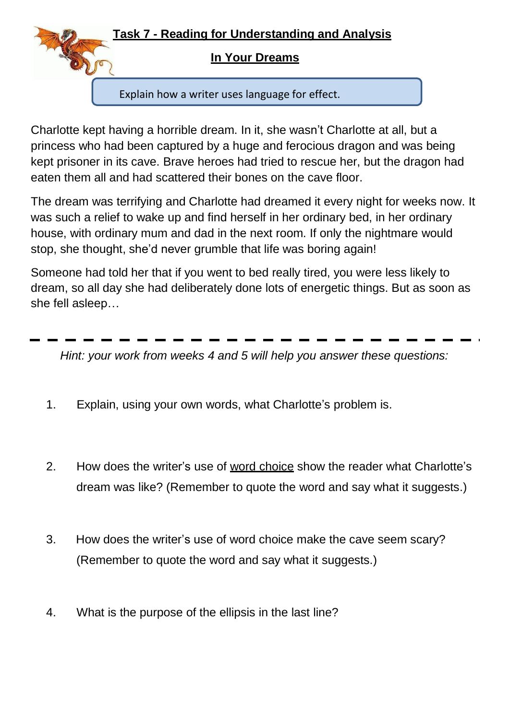

## **In Your Dreams**

Explain how a writer uses language for effect.

Charlotte kept having a horrible dream. In it, she wasn't Charlotte at all, but a princess who had been captured by a huge and ferocious dragon and was being kept prisoner in its cave. Brave heroes had tried to rescue her, but the dragon had eaten them all and had scattered their bones on the cave floor.

The dream was terrifying and Charlotte had dreamed it every night for weeks now. It was such a relief to wake up and find herself in her ordinary bed, in her ordinary house, with ordinary mum and dad in the next room. If only the nightmare would stop, she thought, she'd never grumble that life was boring again!

Someone had told her that if you went to bed really tired, you were less likely to dream, so all day she had deliberately done lots of energetic things. But as soon as she fell asleep…

*Hint: your work from weeks 4 and 5 will help you answer these questions:*

- 1. Explain, using your own words, what Charlotte's problem is.
- 2. How does the writer's use of word choice show the reader what Charlotte's dream was like? (Remember to quote the word and say what it suggests.)
- 3. How does the writer's use of word choice make the cave seem scary? (Remember to quote the word and say what it suggests.)
- 4. What is the purpose of the ellipsis in the last line?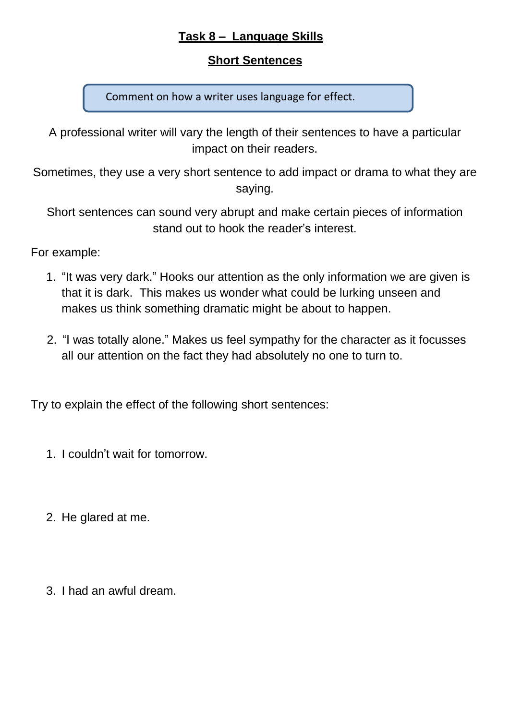### **Task 8 – Language Skills**

#### **Short Sentences**

Comment on how a writer uses language for effect.

A professional writer will vary the length of their sentences to have a particular impact on their readers.

Sometimes, they use a very short sentence to add impact or drama to what they are saying.

Short sentences can sound very abrupt and make certain pieces of information stand out to hook the reader's interest.

For example:

- 1. "It was very dark." Hooks our attention as the only information we are given is that it is dark. This makes us wonder what could be lurking unseen and makes us think something dramatic might be about to happen.
- 2. "I was totally alone." Makes us feel sympathy for the character as it focusses all our attention on the fact they had absolutely no one to turn to.

Try to explain the effect of the following short sentences:

- 1. I couldn't wait for tomorrow.
- 2. He glared at me.
- 3. I had an awful dream.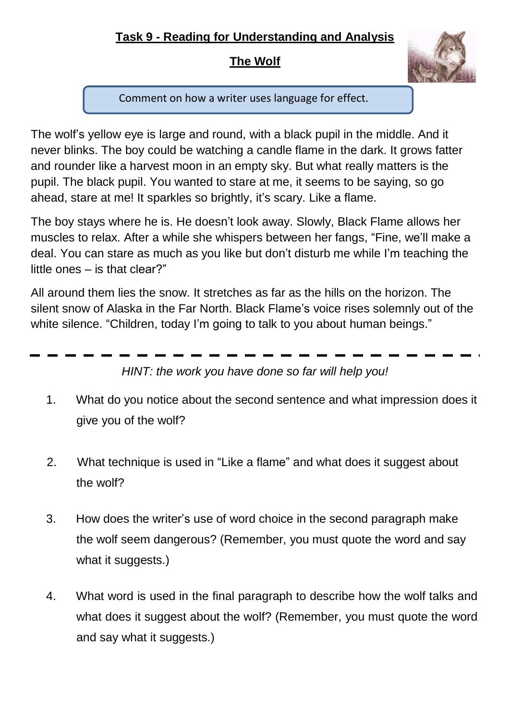# **Task 9 - Reading for Understanding and Analysis**

## **The Wolf**



Comment on how a writer uses language for effect.

The wolf's yellow eye is large and round, with a black pupil in the middle. And it never blinks. The boy could be watching a candle flame in the dark. It grows fatter and rounder like a harvest moon in an empty sky. But what really matters is the pupil. The black pupil. You wanted to stare at me, it seems to be saying, so go ahead, stare at me! It sparkles so brightly, it's scary. Like a flame.

The boy stays where he is. He doesn't look away. Slowly, Black Flame allows her muscles to relax. After a while she whispers between her fangs, "Fine, we'll make a deal. You can stare as much as you like but don't disturb me while I'm teaching the little ones – is that clear?"

All around them lies the snow. It stretches as far as the hills on the horizon. The silent snow of Alaska in the Far North. Black Flame's voice rises solemnly out of the white silence. "Children, today I'm going to talk to you about human beings."

*HINT: the work you have done so far will help you!*

- 1. What do you notice about the second sentence and what impression does it give you of the wolf?
- 2. What technique is used in "Like a flame" and what does it suggest about the wolf?
- 3. How does the writer's use of word choice in the second paragraph make the wolf seem dangerous? (Remember, you must quote the word and say what it suggests.)
- 4. What word is used in the final paragraph to describe how the wolf talks and what does it suggest about the wolf? (Remember, you must quote the word and say what it suggests.)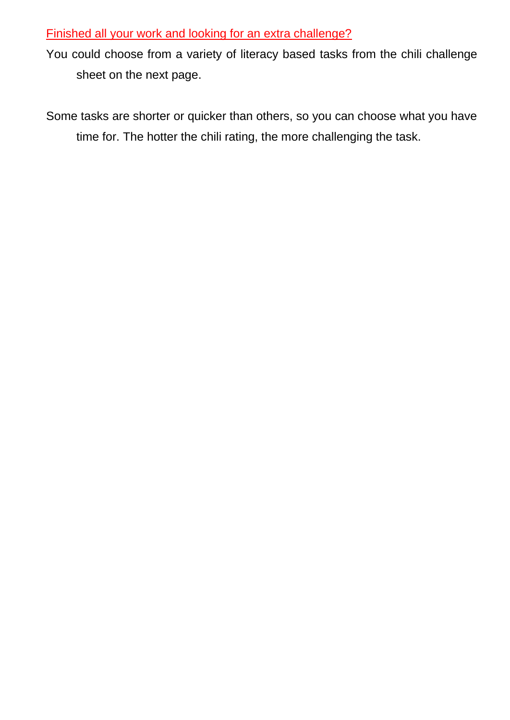#### Finished all your work and looking for an extra challenge?

You could choose from a variety of literacy based tasks from the chili challenge sheet on the next page.

Some tasks are shorter or quicker than others, so you can choose what you have time for. The hotter the chili rating, the more challenging the task.